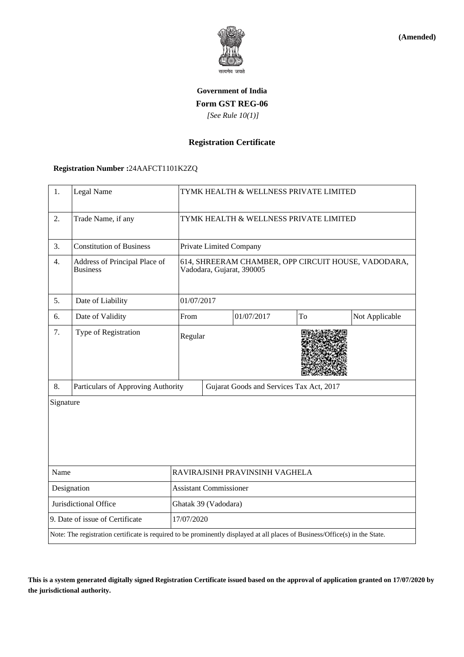

**(Amended)**

# **Government of India Form GST REG-06**  *[See Rule 10(1)]*

## **Registration Certificate**

## **Registration Number :**24AAFCT1101K2ZQ

| 1.                                                                                                                           | Legal Name                                       | TYMK HEALTH & WELLNESS PRIVATE LIMITED                                           |                                          |            |    |                |  |
|------------------------------------------------------------------------------------------------------------------------------|--------------------------------------------------|----------------------------------------------------------------------------------|------------------------------------------|------------|----|----------------|--|
| 2.                                                                                                                           | Trade Name, if any                               | TYMK HEALTH & WELLNESS PRIVATE LIMITED                                           |                                          |            |    |                |  |
| 3.                                                                                                                           | <b>Constitution of Business</b>                  |                                                                                  | Private Limited Company                  |            |    |                |  |
| 4.                                                                                                                           | Address of Principal Place of<br><b>Business</b> | 614, SHREERAM CHAMBER, OPP CIRCUIT HOUSE, VADODARA,<br>Vadodara, Gujarat, 390005 |                                          |            |    |                |  |
| 5.                                                                                                                           | Date of Liability                                |                                                                                  | 01/07/2017                               |            |    |                |  |
| 6.                                                                                                                           | Date of Validity                                 | From                                                                             |                                          | 01/07/2017 | To | Not Applicable |  |
| 7.                                                                                                                           | Type of Registration                             | Regular                                                                          |                                          |            |    |                |  |
| 8.                                                                                                                           | Particulars of Approving Authority               |                                                                                  | Gujarat Goods and Services Tax Act, 2017 |            |    |                |  |
| Signature                                                                                                                    |                                                  |                                                                                  |                                          |            |    |                |  |
| Name                                                                                                                         |                                                  | RAVIRAJSINH PRAVINSINH VAGHELA                                                   |                                          |            |    |                |  |
| Designation                                                                                                                  |                                                  | <b>Assistant Commissioner</b>                                                    |                                          |            |    |                |  |
| Jurisdictional Office                                                                                                        |                                                  | Ghatak 39 (Vadodara)                                                             |                                          |            |    |                |  |
| 9. Date of issue of Certificate                                                                                              |                                                  |                                                                                  | 17/07/2020                               |            |    |                |  |
| Note: The registration certificate is required to be prominently displayed at all places of Business/Office(s) in the State. |                                                  |                                                                                  |                                          |            |    |                |  |

**This is a system generated digitally signed Registration Certificate issued based on the approval of application granted on 17/07/2020 by the jurisdictional authority.**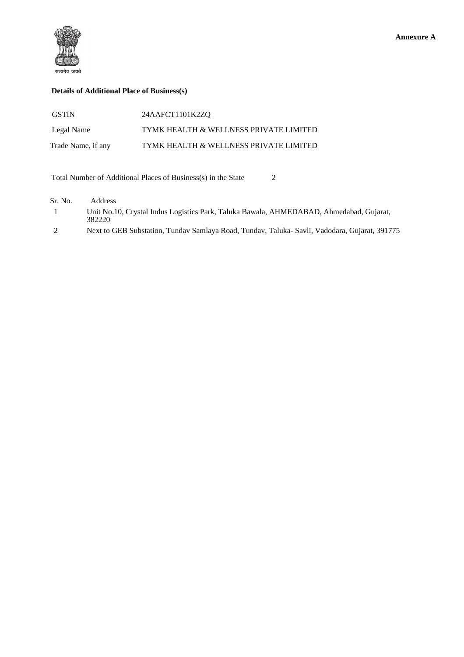

## **Details of Additional Place of Business(s)**

| <b>GSTIN</b>       | 24AAFCT1101K2ZQ                        |
|--------------------|----------------------------------------|
| Legal Name         | TYMK HEALTH & WELLNESS PRIVATE LIMITED |
| Trade Name, if any | TYMK HEALTH & WELLNESS PRIVATE LIMITED |

Total Number of Additional Places of Business(s) in the State 2

| Sr. No.      | <b>Address</b>                                                                                    |
|--------------|---------------------------------------------------------------------------------------------------|
| $\mathbf{1}$ | Unit No.10, Crystal Indus Logistics Park, Taluka Bawala, AHMEDABAD, Ahmedabad, Gujarat,<br>382220 |
| 2            | Next to GEB Substation, Tunday Samlaya Road, Tunday, Taluka-Savli, Vadodara, Gujarat, 391775      |